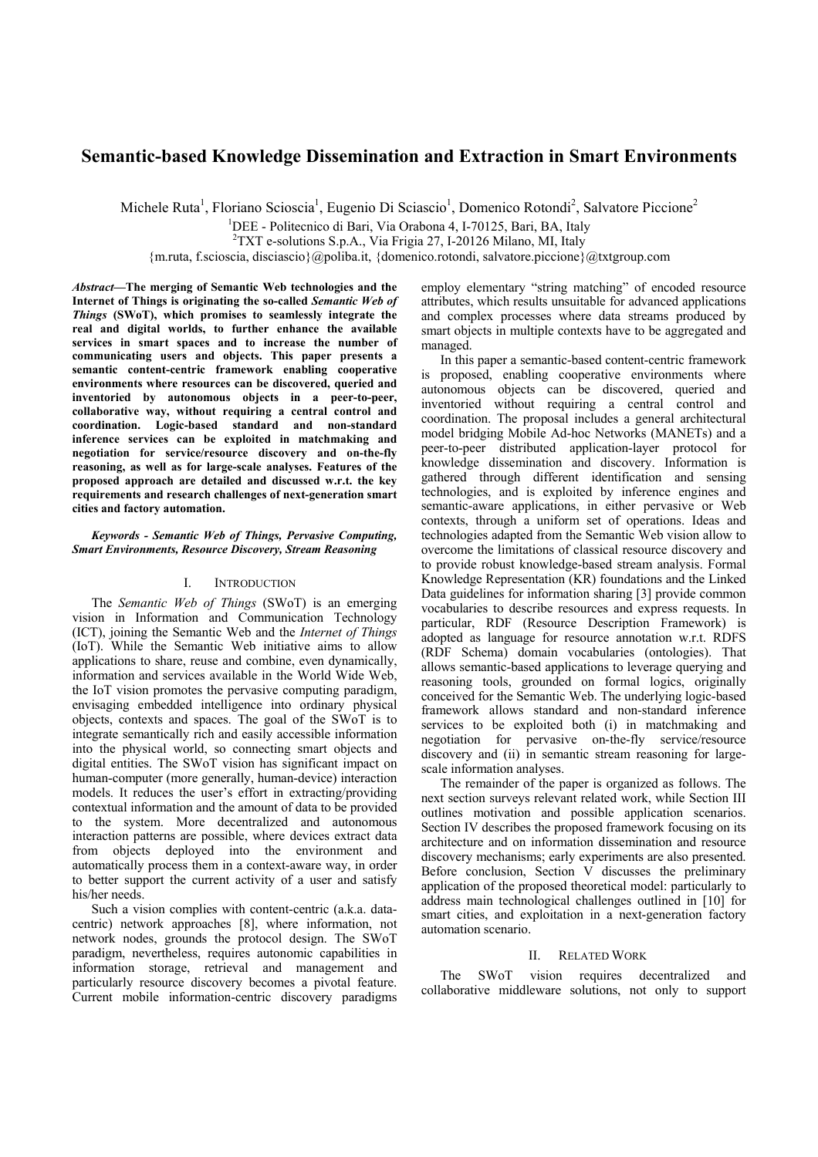# **Semantic-based Knowledge Dissemination and Extraction in Smart Environments**

Michele Ruta<sup>1</sup>, Floriano Scioscia<sup>1</sup>, Eugenio Di Sciascio<sup>1</sup>, Domenico Rotondi<sup>2</sup>, Salvatore Piccione<sup>2</sup>

<sup>1</sup>DEE - Politecnico di Bari, Via Orabona 4, I-70125, Bari, BA, Italy

<sup>2</sup>TXT e-solutions S.p.A., Via Frigia 27, I-20126 Milano, MI, Italy

{m.ruta, f.scioscia, disciascio}@poliba.it, {domenico.rotondi, salvatore.piccione}@txtgroup.com

*Abstract***—The merging of Semantic Web technologies and the Internet of Things is originating the so-called** *Semantic Web of Things* **(SWoT), which promises to seamlessly integrate the real and digital worlds, to further enhance the available services in smart spaces and to increase the number of communicating users and objects. This paper presents a semantic content-centric framework enabling cooperative environments where resources can be discovered, queried and inventoried by autonomous objects in a peer-to-peer, collaborative way, without requiring a central control and coordination. Logic-based standard and non-standard inference services can be exploited in matchmaking and negotiation for service/resource discovery and on-the-fly reasoning, as well as for large-scale analyses. Features of the proposed approach are detailed and discussed w.r.t. the key requirements and research challenges of next-generation smart cities and factory automation.** 

# *Keywords - Semantic Web of Things, Pervasive Computing, Smart Environments, Resource Discovery, Stream Reasoning*

# I. INTRODUCTION

The *Semantic Web of Things* (SWoT) is an emerging vision in Information and Communication Technology (ICT), joining the Semantic Web and the *Internet of Things* (IoT). While the Semantic Web initiative aims to allow applications to share, reuse and combine, even dynamically, information and services available in the World Wide Web, the IoT vision promotes the pervasive computing paradigm, envisaging embedded intelligence into ordinary physical objects, contexts and spaces. The goal of the SWoT is to integrate semantically rich and easily accessible information into the physical world, so connecting smart objects and digital entities. The SWoT vision has significant impact on human-computer (more generally, human-device) interaction models. It reduces the user's effort in extracting/providing contextual information and the amount of data to be provided to the system. More decentralized and autonomous interaction patterns are possible, where devices extract data from objects deployed into the environment and automatically process them in a context-aware way, in order to better support the current activity of a user and satisfy his/her needs.

Such a vision complies with content-centric (a.k.a. datacentric) network approaches [8], where information, not network nodes, grounds the protocol design. The SWoT paradigm, nevertheless, requires autonomic capabilities in information storage, retrieval and management and particularly resource discovery becomes a pivotal feature. Current mobile information-centric discovery paradigms employ elementary "string matching" of encoded resource attributes, which results unsuitable for advanced applications and complex processes where data streams produced by smart objects in multiple contexts have to be aggregated and managed.

In this paper a semantic-based content-centric framework is proposed, enabling cooperative environments where autonomous objects can be discovered, queried and inventoried without requiring a central control and coordination. The proposal includes a general architectural model bridging Mobile Ad-hoc Networks (MANETs) and a peer-to-peer distributed application-layer protocol for knowledge dissemination and discovery. Information is gathered through different identification and sensing technologies, and is exploited by inference engines and semantic-aware applications, in either pervasive or Web contexts, through a uniform set of operations. Ideas and technologies adapted from the Semantic Web vision allow to overcome the limitations of classical resource discovery and to provide robust knowledge-based stream analysis. Formal Knowledge Representation (KR) foundations and the Linked Data guidelines for information sharing [3] provide common vocabularies to describe resources and express requests. In particular, RDF (Resource Description Framework) is adopted as language for resource annotation w.r.t. RDFS (RDF Schema) domain vocabularies (ontologies). That allows semantic-based applications to leverage querying and reasoning tools, grounded on formal logics, originally conceived for the Semantic Web. The underlying logic-based framework allows standard and non-standard inference services to be exploited both (i) in matchmaking and negotiation for pervasive on-the-fly service/resource discovery and (ii) in semantic stream reasoning for largescale information analyses.

The remainder of the paper is organized as follows. The next section surveys relevant related work, while Section III outlines motivation and possible application scenarios. Section IV describes the proposed framework focusing on its architecture and on information dissemination and resource discovery mechanisms; early experiments are also presented. Before conclusion, Section V discusses the preliminary application of the proposed theoretical model: particularly to address main technological challenges outlined in [10] for smart cities, and exploitation in a next-generation factory automation scenario.

# II. RELATED WORK

The SWoT vision requires decentralized and collaborative middleware solutions, not only to support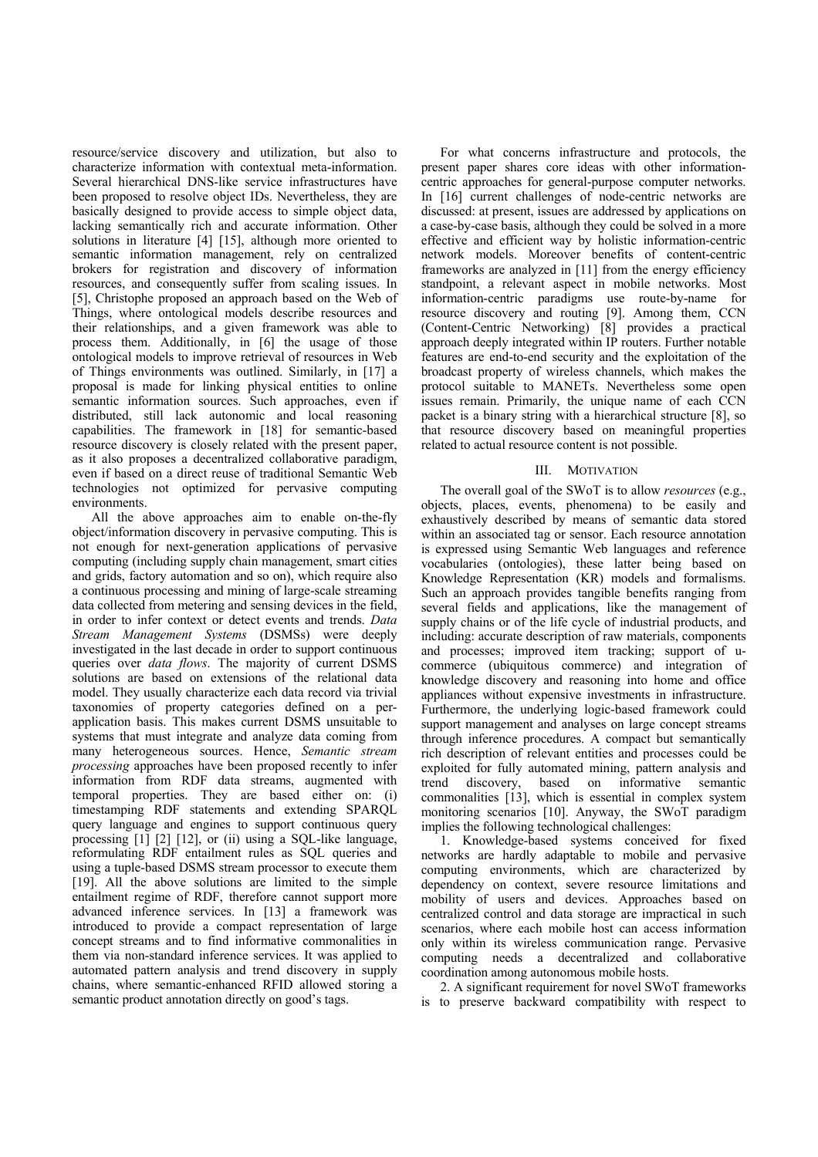resource/service discovery and utilization, but also to characterize information with contextual meta-information. Several hierarchical DNS-like service infrastructures have been proposed to resolve object IDs. Nevertheless, they are basically designed to provide access to simple object data, lacking semantically rich and accurate information. Other solutions in literature [4] [15], although more oriented to semantic information management, rely on centralized brokers for registration and discovery of information resources, and consequently suffer from scaling issues. In [5], Christophe proposed an approach based on the Web of Things, where ontological models describe resources and their relationships, and a given framework was able to process them. Additionally, in [6] the usage of those ontological models to improve retrieval of resources in Web of Things environments was outlined. Similarly, in [17] a proposal is made for linking physical entities to online semantic information sources. Such approaches, even if distributed, still lack autonomic and local reasoning capabilities. The framework in [18] for semantic-based resource discovery is closely related with the present paper, as it also proposes a decentralized collaborative paradigm, even if based on a direct reuse of traditional Semantic Web technologies not optimized for pervasive computing environments.

All the above approaches aim to enable on-the-fly object/information discovery in pervasive computing. This is not enough for next-generation applications of pervasive computing (including supply chain management, smart cities and grids, factory automation and so on), which require also a continuous processing and mining of large-scale streaming data collected from metering and sensing devices in the field, in order to infer context or detect events and trends. *Data Stream Management Systems* (DSMSs) were deeply investigated in the last decade in order to support continuous queries over *data flows*. The majority of current DSMS solutions are based on extensions of the relational data model. They usually characterize each data record via trivial taxonomies of property categories defined on a perapplication basis. This makes current DSMS unsuitable to systems that must integrate and analyze data coming from many heterogeneous sources. Hence, *Semantic stream processing* approaches have been proposed recently to infer information from RDF data streams, augmented with temporal properties. They are based either on: (i) timestamping RDF statements and extending SPARQL query language and engines to support continuous query processing [1] [2] [12], or (ii) using a SQL-like language, reformulating RDF entailment rules as SQL queries and using a tuple-based DSMS stream processor to execute them [19]. All the above solutions are limited to the simple entailment regime of RDF, therefore cannot support more advanced inference services. In [13] a framework was introduced to provide a compact representation of large concept streams and to find informative commonalities in them via non-standard inference services. It was applied to automated pattern analysis and trend discovery in supply chains, where semantic-enhanced RFID allowed storing a semantic product annotation directly on good's tags.

For what concerns infrastructure and protocols, the present paper shares core ideas with other informationcentric approaches for general-purpose computer networks. In [16] current challenges of node-centric networks are discussed: at present, issues are addressed by applications on a case-by-case basis, although they could be solved in a more effective and efficient way by holistic information-centric network models. Moreover benefits of content-centric frameworks are analyzed in [11] from the energy efficiency standpoint, a relevant aspect in mobile networks. Most information-centric paradigms use route-by-name for resource discovery and routing [9]. Among them, CCN (Content-Centric Networking) [8] provides a practical approach deeply integrated within IP routers. Further notable features are end-to-end security and the exploitation of the broadcast property of wireless channels, which makes the protocol suitable to MANETs. Nevertheless some open issues remain. Primarily, the unique name of each CCN packet is a binary string with a hierarchical structure [8], so that resource discovery based on meaningful properties related to actual resource content is not possible.

# III. MOTIVATION

The overall goal of the SWoT is to allow *resources* (e.g., objects, places, events, phenomena) to be easily and exhaustively described by means of semantic data stored within an associated tag or sensor. Each resource annotation is expressed using Semantic Web languages and reference vocabularies (ontologies), these latter being based on Knowledge Representation (KR) models and formalisms. Such an approach provides tangible benefits ranging from several fields and applications, like the management of supply chains or of the life cycle of industrial products, and including: accurate description of raw materials, components and processes; improved item tracking; support of ucommerce (ubiquitous commerce) and integration of knowledge discovery and reasoning into home and office appliances without expensive investments in infrastructure. Furthermore, the underlying logic-based framework could support management and analyses on large concept streams through inference procedures. A compact but semantically rich description of relevant entities and processes could be exploited for fully automated mining, pattern analysis and trend discovery, based on informative semantic commonalities [13], which is essential in complex system monitoring scenarios [10]. Anyway, the SWoT paradigm implies the following technological challenges:

1. Knowledge-based systems conceived for fixed networks are hardly adaptable to mobile and pervasive computing environments, which are characterized by dependency on context, severe resource limitations and mobility of users and devices. Approaches based on centralized control and data storage are impractical in such scenarios, where each mobile host can access information only within its wireless communication range. Pervasive computing needs a decentralized and collaborative coordination among autonomous mobile hosts.

2. A significant requirement for novel SWoT frameworks is to preserve backward compatibility with respect to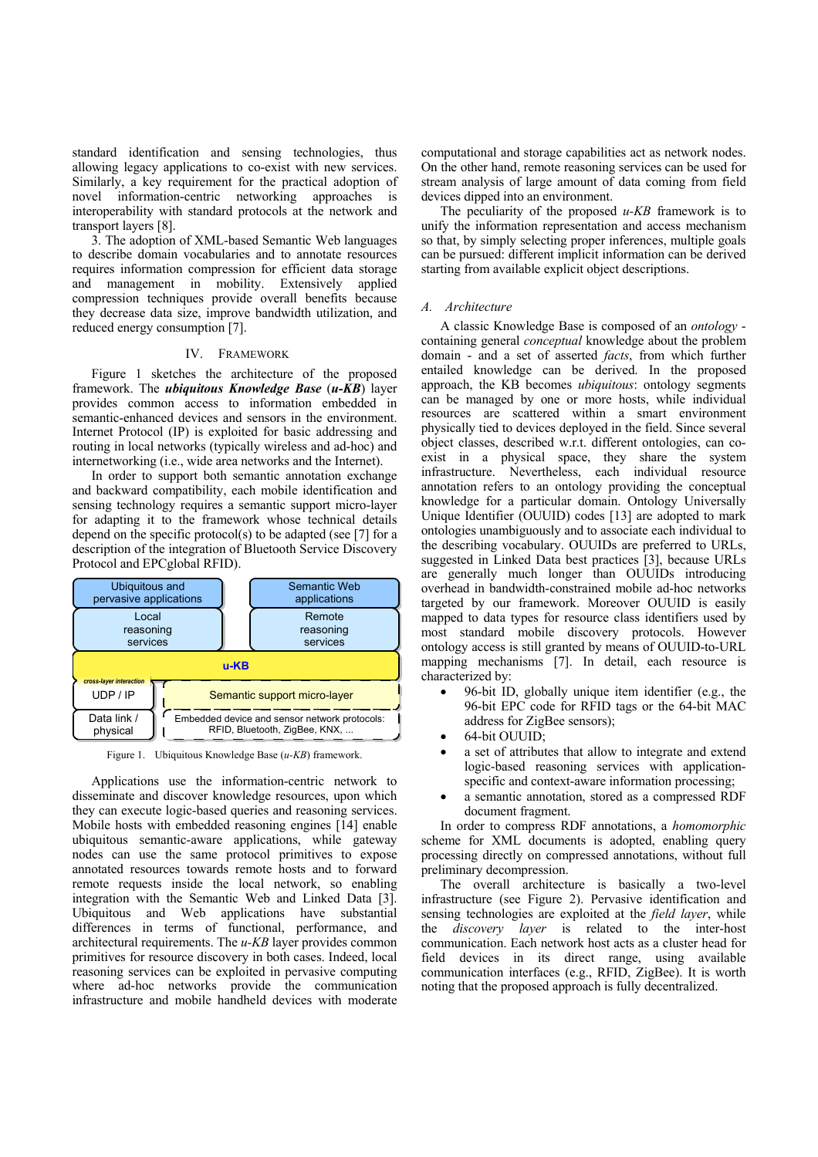standard identification and sensing technologies, thus allowing legacy applications to co-exist with new services. Similarly, a key requirement for the practical adoption of novel information-centric networking approaches is interoperability with standard protocols at the network and transport layers [8].

3. The adoption of XML-based Semantic Web languages to describe domain vocabularies and to annotate resources requires information compression for efficient data storage and management in mobility. Extensively applied compression techniques provide overall benefits because they decrease data size, improve bandwidth utilization, and reduced energy consumption [7].

## IV. FRAMEWORK

Figure 1 sketches the architecture of the proposed framework. The *ubiquitous Knowledge Base* (*u-KB*) layer provides common access to information embedded in semantic-enhanced devices and sensors in the environment. Internet Protocol (IP) is exploited for basic addressing and routing in local networks (typically wireless and ad-hoc) and internetworking (i.e., wide area networks and the Internet).

In order to support both semantic annotation exchange and backward compatibility, each mobile identification and sensing technology requires a semantic support micro-layer for adapting it to the framework whose technical details depend on the specific protocol(s) to be adapted (see [7] for a description of the integration of Bluetooth Service Discovery Protocol and EPCglobal RFID).



Figure 1. Ubiquitous Knowledge Base (*u-KB*) framework.

Applications use the information-centric network to disseminate and discover knowledge resources, upon which they can execute logic-based queries and reasoning services. Mobile hosts with embedded reasoning engines [14] enable ubiquitous semantic-aware applications, while gateway nodes can use the same protocol primitives to expose annotated resources towards remote hosts and to forward remote requests inside the local network, so enabling integration with the Semantic Web and Linked Data [3]. Ubiquitous and Web applications have substantial differences in terms of functional, performance, and architectural requirements. The *u-KB* layer provides common primitives for resource discovery in both cases. Indeed, local reasoning services can be exploited in pervasive computing where ad-hoc networks provide the communication infrastructure and mobile handheld devices with moderate

computational and storage capabilities act as network nodes. On the other hand, remote reasoning services can be used for stream analysis of large amount of data coming from field devices dipped into an environment.

The peculiarity of the proposed *u-KB* framework is to unify the information representation and access mechanism so that, by simply selecting proper inferences, multiple goals can be pursued: different implicit information can be derived starting from available explicit object descriptions.

## *A. Architecture*

A classic Knowledge Base is composed of an *ontology* containing general *conceptual* knowledge about the problem domain - and a set of asserted *facts*, from which further entailed knowledge can be derived. In the proposed approach, the KB becomes *ubiquitous*: ontology segments can be managed by one or more hosts, while individual resources are scattered within a smart environment physically tied to devices deployed in the field. Since several object classes, described w.r.t. different ontologies, can coexist in a physical space, they share the system infrastructure. Nevertheless, each individual resource annotation refers to an ontology providing the conceptual knowledge for a particular domain. Ontology Universally Unique Identifier (OUUID) codes [13] are adopted to mark ontologies unambiguously and to associate each individual to the describing vocabulary. OUUIDs are preferred to URLs, suggested in Linked Data best practices [3], because URLs are generally much longer than OUUIDs introducing overhead in bandwidth-constrained mobile ad-hoc networks targeted by our framework. Moreover OUUID is easily mapped to data types for resource class identifiers used by most standard mobile discovery protocols. However ontology access is still granted by means of OUUID-to-URL mapping mechanisms [7]. In detail, each resource is characterized by:

- 96-bit ID, globally unique item identifier (e.g., the 96-bit EPC code for RFID tags or the 64-bit MAC address for ZigBee sensors);
- 64-bit OUUID;
- a set of attributes that allow to integrate and extend logic-based reasoning services with applicationspecific and context-aware information processing;
- a semantic annotation, stored as a compressed RDF document fragment.

In order to compress RDF annotations, a *homomorphic* scheme for XML documents is adopted, enabling query processing directly on compressed annotations, without full preliminary decompression.

The overall architecture is basically a two-level infrastructure (see Figure 2). Pervasive identification and sensing technologies are exploited at the *field layer*, while the *discovery layer* is related to the inter-host communication. Each network host acts as a cluster head for field devices in its direct range, using available communication interfaces (e.g., RFID, ZigBee). It is worth noting that the proposed approach is fully decentralized.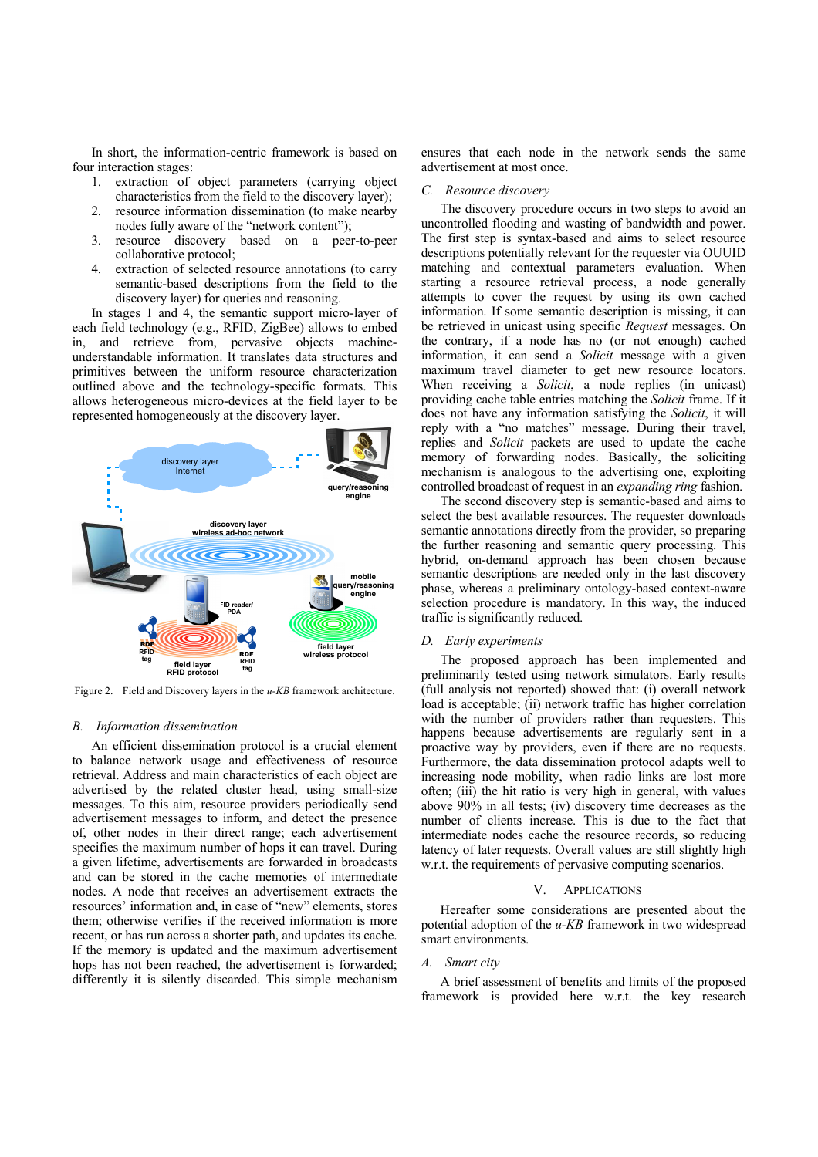In short, the information-centric framework is based on four interaction stages:

- 1. extraction of object parameters (carrying object characteristics from the field to the discovery layer);
- 2. resource information dissemination (to make nearby nodes fully aware of the "network content");
- 3. resource discovery based on a peer-to-peer collaborative protocol;
- 4. extraction of selected resource annotations (to carry semantic-based descriptions from the field to the discovery layer) for queries and reasoning.

In stages 1 and 4, the semantic support micro-layer of each field technology (e.g., RFID, ZigBee) allows to embed in, and retrieve from, pervasive objects machineunderstandable information. It translates data structures and primitives between the uniform resource characterization outlined above and the technology-specific formats. This allows heterogeneous micro-devices at the field layer to be represented homogeneously at the discovery layer.



Figure 2. Field and Discovery layers in the *u-KB* framework architecture.

#### *B. Information dissemination*

An efficient dissemination protocol is a crucial element to balance network usage and effectiveness of resource retrieval. Address and main characteristics of each object are advertised by the related cluster head, using small-size messages. To this aim, resource providers periodically send advertisement messages to inform, and detect the presence of, other nodes in their direct range; each advertisement specifies the maximum number of hops it can travel. During a given lifetime, advertisements are forwarded in broadcasts and can be stored in the cache memories of intermediate nodes. A node that receives an advertisement extracts the resources' information and, in case of "new" elements, stores them; otherwise verifies if the received information is more recent, or has run across a shorter path, and updates its cache. If the memory is updated and the maximum advertisement hops has not been reached, the advertisement is forwarded; differently it is silently discarded. This simple mechanism ensures that each node in the network sends the same advertisement at most once.

#### *C. Resource discovery*

The discovery procedure occurs in two steps to avoid an uncontrolled flooding and wasting of bandwidth and power. The first step is syntax-based and aims to select resource descriptions potentially relevant for the requester via OUUID matching and contextual parameters evaluation. When starting a resource retrieval process, a node generally attempts to cover the request by using its own cached information. If some semantic description is missing, it can be retrieved in unicast using specific *Request* messages. On the contrary, if a node has no (or not enough) cached information, it can send a *Solicit* message with a given maximum travel diameter to get new resource locators. When receiving a *Solicit*, a node replies (in unicast) providing cache table entries matching the *Solicit* frame. If it does not have any information satisfying the *Solicit*, it will reply with a "no matches" message. During their travel, replies and *Solicit* packets are used to update the cache memory of forwarding nodes. Basically, the soliciting mechanism is analogous to the advertising one, exploiting controlled broadcast of request in an *expanding ring* fashion.

The second discovery step is semantic-based and aims to select the best available resources. The requester downloads semantic annotations directly from the provider, so preparing the further reasoning and semantic query processing. This hybrid, on-demand approach has been chosen because semantic descriptions are needed only in the last discovery phase, whereas a preliminary ontology-based context-aware selection procedure is mandatory. In this way, the induced traffic is significantly reduced.

# *D. Early experiments*

The proposed approach has been implemented and preliminarily tested using network simulators. Early results (full analysis not reported) showed that: (i) overall network load is acceptable; (ii) network traffic has higher correlation with the number of providers rather than requesters. This happens because advertisements are regularly sent in a proactive way by providers, even if there are no requests. Furthermore, the data dissemination protocol adapts well to increasing node mobility, when radio links are lost more often; (iii) the hit ratio is very high in general, with values above 90% in all tests; (iv) discovery time decreases as the number of clients increase. This is due to the fact that intermediate nodes cache the resource records, so reducing latency of later requests. Overall values are still slightly high w.r.t. the requirements of pervasive computing scenarios.

#### V. APPLICATIONS

Hereafter some considerations are presented about the potential adoption of the *u-KB* framework in two widespread smart environments.

### *A. Smart city*

A brief assessment of benefits and limits of the proposed framework is provided here w.r.t. the key research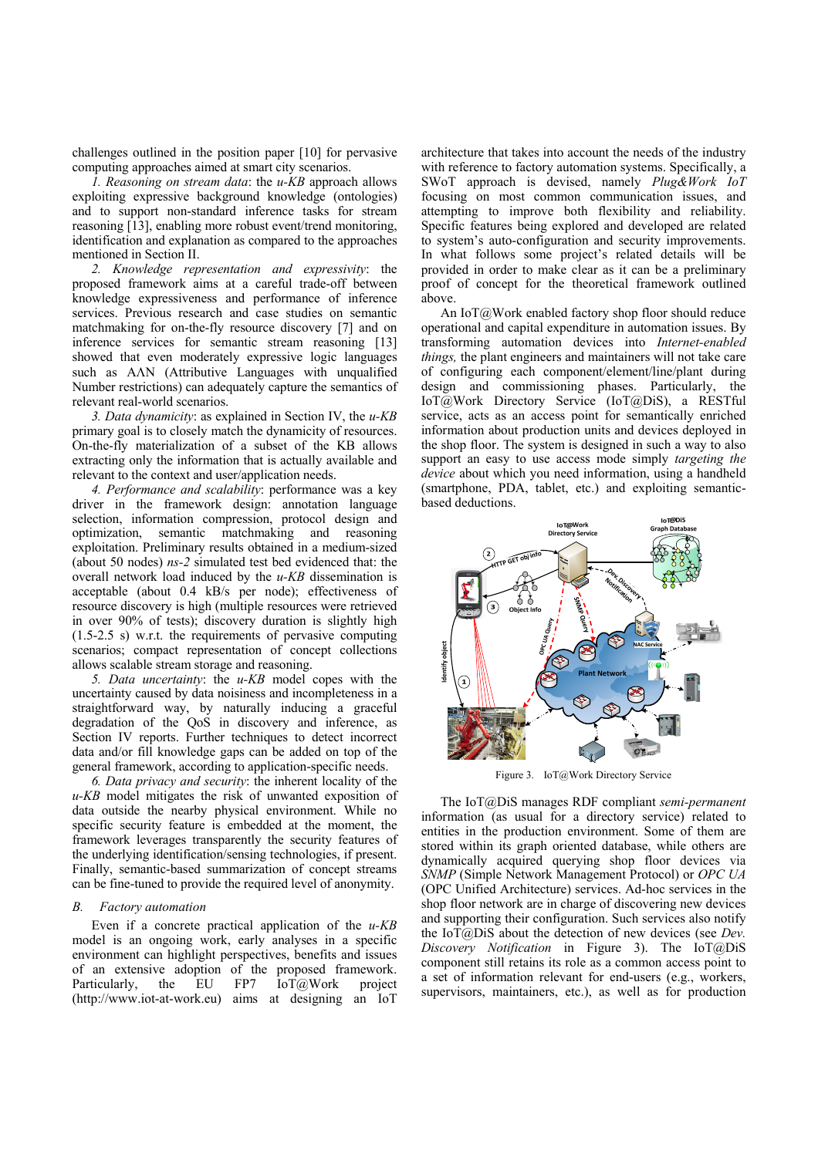challenges outlined in the position paper [10] for pervasive computing approaches aimed at smart city scenarios.

*1. Reasoning on stream data*: the *u-KB* approach allows exploiting expressive background knowledge (ontologies) and to support non-standard inference tasks for stream reasoning [13], enabling more robust event/trend monitoring, identification and explanation as compared to the approaches mentioned in Section II.

*2. Knowledge representation and expressivity*: the proposed framework aims at a careful trade-off between knowledge expressiveness and performance of inference services. Previous research and case studies on semantic matchmaking for on-the-fly resource discovery [7] and on inference services for semantic stream reasoning [13] showed that even moderately expressive logic languages such as AAN (Attributive Languages with unqualified Number restrictions) can adequately capture the semantics of relevant real-world scenarios.

*3. Data dynamicity*: as explained in Section IV, the *u-KB* primary goal is to closely match the dynamicity of resources. On-the-fly materialization of a subset of the KB allows extracting only the information that is actually available and relevant to the context and user/application needs.

*4. Performance and scalability*: performance was a key driver in the framework design: annotation language selection, information compression, protocol design and optimization, semantic matchmaking and reasoning exploitation. Preliminary results obtained in a medium-sized (about 50 nodes) *ns-2* simulated test bed evidenced that: the overall network load induced by the *u-KB* dissemination is acceptable (about 0.4 kB/s per node); effectiveness of resource discovery is high (multiple resources were retrieved in over 90% of tests); discovery duration is slightly high (1.5-2.5 s) w.r.t. the requirements of pervasive computing scenarios; compact representation of concept collections allows scalable stream storage and reasoning.

*5. Data uncertainty*: the *u-KB* model copes with the uncertainty caused by data noisiness and incompleteness in a straightforward way, by naturally inducing a graceful degradation of the QoS in discovery and inference, as Section IV reports. Further techniques to detect incorrect data and/or fill knowledge gaps can be added on top of the general framework, according to application-specific needs.

*6. Data privacy and security*: the inherent locality of the *u-KB* model mitigates the risk of unwanted exposition of data outside the nearby physical environment. While no specific security feature is embedded at the moment, the framework leverages transparently the security features of the underlying identification/sensing technologies, if present. Finally, semantic-based summarization of concept streams can be fine-tuned to provide the required level of anonymity.

### *B. Factory automation*

Even if a concrete practical application of the *u-KB* model is an ongoing work, early analyses in a specific environment can highlight perspectives, benefits and issues of an extensive adoption of the proposed framework.<br>Particularly, the EU FP7  $IoT@Work$  project Particularly, the EU FP7 IoT@Work project (http://www.iot-at-work.eu) aims at designing an IoT architecture that takes into account the needs of the industry with reference to factory automation systems. Specifically, a SWoT approach is devised, namely *Plug&Work IoT* focusing on most common communication issues, and attempting to improve both flexibility and reliability. Specific features being explored and developed are related to system's auto-configuration and security improvements. In what follows some project's related details will be provided in order to make clear as it can be a preliminary proof of concept for the theoretical framework outlined above.

An IoT@Work enabled factory shop floor should reduce operational and capital expenditure in automation issues. By transforming automation devices into *Internet-enabled things,* the plant engineers and maintainers will not take care of configuring each component/element/line/plant during design and commissioning phases. Particularly, the IoT@Work Directory Service (IoT@DiS), a RESTful service, acts as an access point for semantically enriched information about production units and devices deployed in the shop floor. The system is designed in such a way to also support an easy to use access mode simply *targeting the device* about which you need information, using a handheld (smartphone, PDA, tablet, etc.) and exploiting semanticbased deductions.



Figure 3. IoT@Work Directory Service

The IoT@DiS manages RDF compliant *semi-permanent* information (as usual for a directory service) related to entities in the production environment. Some of them are stored within its graph oriented database, while others are dynamically acquired querying shop floor devices via *SNMP* (Simple Network Management Protocol) or *OPC UA* (OPC Unified Architecture) services. Ad-hoc services in the shop floor network are in charge of discovering new devices and supporting their configuration. Such services also notify the IoT@DiS about the detection of new devices (see *Dev. Discovery Notification* in Figure 3). The IoT@DiS component still retains its role as a common access point to a set of information relevant for end-users (e.g., workers, supervisors, maintainers, etc.), as well as for production